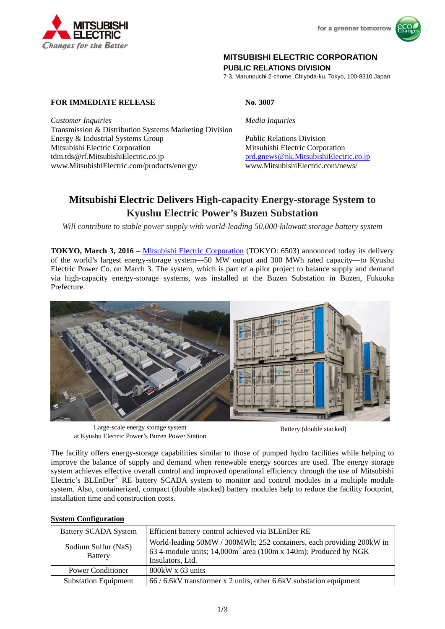



# **MITSUBISHI ELECTRIC CORPORATION**

**PUBLIC RELATIONS DIVISION** 

7-3, Marunouchi 2-chome, Chiyoda-ku, Tokyo, 100-8310 Japan

## **FOR IMMEDIATE RELEASE No. 3007**

*Customer Inquiries Media Inquiries* Transmission & Distribution Systems Marketing Division Energy & Industrial Systems Group Public Relations Division Mitsubishi Electric Corporation Mitsubishi Electric Corporation tdm.tds@rf.MitsubishiElectric.co.jp prd.gnews@nk.MitsubishiElectric.co.jp www.MitsubishiElectric.com/products/energy/ www.MitsubishiElectric.com/news/

# **Mitsubishi Electric Delivers High-capacity Energy-storage System to Kyushu Electric Power's Buzen Substation**

*Will contribute to stable power supply with world-leading 50,000-kilowatt storage battery system*

**TOKYO, March 3, 2016** – Mitsubishi Electric Corporation (TOKYO: 6503) announced today its delivery of the world's largest energy-storage system—50 MW output and 300 MWh rated capacity—to Kyushu Electric Power Co. on March 3. The system, which is part of a pilot project to balance supply and demand via high-capacity energy-storage systems, was installed at the Buzen Substation in Buzen, Fukuoka Prefecture.



Large-scale energy storage system at Kyushu Electric Power's Buzen Power Station

Battery (double stacked)

The facility offers energy-storage capabilities similar to those of pumped hydro facilities while helping to improve the balance of supply and demand when renewable energy sources are used. The energy storage system achieves effective overall control and improved operational efficiency through the use of Mitsubishi Electric's BLEnDer® RE battery SCADA system to monitor and control modules in a multiple module system. Also, containerized, compact (double stacked) battery modules help to reduce the facility footprint, installation time and construction costs.

### **System Configuration**

| <b>Battery SCADA System</b>           | Efficient battery control achieved via BLEnDer RE                                                                                                              |
|---------------------------------------|----------------------------------------------------------------------------------------------------------------------------------------------------------------|
| Sodium Sulfur (NaS)<br><b>Battery</b> | World-leading 50MW / 300MWh; 252 containers, each providing 200kW in<br>63 4-module units; $14,000m^2$ area (100m x 140m); Produced by NGK<br>Insulators, Ltd. |
| <b>Power Conditioner</b>              | $800$ kW x 63 units                                                                                                                                            |
| <b>Substation Equipment</b>           | $66 / 6.6$ kV transformer x 2 units, other 6.6 kV substation equipment                                                                                         |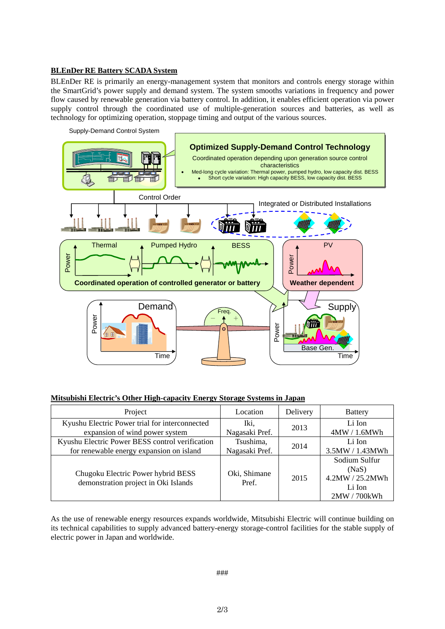#### **BLEnDer RE Battery SCADA System**

BLEnDer RE is primarily an energy-management system that monitors and controls energy storage within the SmartGrid's power supply and demand system. The system smooths variations in frequency and power flow caused by renewable generation via battery control. In addition, it enables efficient operation via power supply control through the coordinated use of multiple-generation sources and batteries, as well as technology for optimizing operation, stoppage timing and output of the various sources.



#### **Mitsubishi Electric's Other High-capacity Energy Storage Systems in Japan**

| Project                                                                    | Location              | Delivery | <b>Battery</b>                                                    |
|----------------------------------------------------------------------------|-----------------------|----------|-------------------------------------------------------------------|
| Kyushu Electric Power trial for interconnected                             | Iki,                  | 2013     | Li Ion                                                            |
| expansion of wind power system                                             | Nagasaki Pref.        |          | 4MW/1.6MWh                                                        |
| Kyushu Electric Power BESS control verification                            | Tsushima,             | 2014     | Li Ion                                                            |
| for renewable energy expansion on island                                   | Nagasaki Pref.        |          | 3.5MW / 1.43MWh                                                   |
| Chugoku Electric Power hybrid BESS<br>demonstration project in Oki Islands | Oki, Shimane<br>Pref. | 2015     | Sodium Sulfur<br>(NaS)<br>4.2MW / 25.2MWh<br>Li Ion<br>2MW/700kWh |

As the use of renewable energy resources expands worldwide, Mitsubishi Electric will continue building on its technical capabilities to supply advanced battery-energy storage-control facilities for the stable supply of electric power in Japan and worldwide.